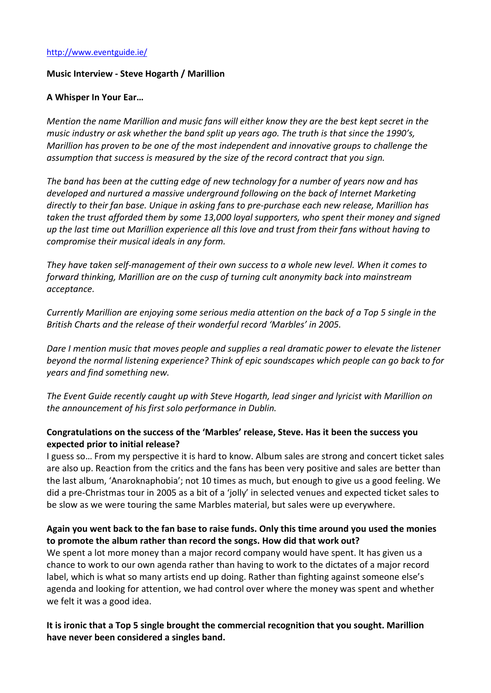### Music Interview - Steve Hogarth / Marillion

#### A Whisper In Your Ear…

*Mention the name Marillion and music fans will either know they are the best kept secret in the music industry or ask whether the band split up years ago. The truth is that since the 1990's, Marillion has proven to be one of the most independent and innovative groups to challenge the assumption that success is measured by the size of the record contract that you sign.*

*The band has been at the cutting edge of new technology for a number of years now and has developed and nurtured a massive underground following on the back of Internet Marketing directly to their fan base. Unique in asking fans to pre-purchase each new release, Marillion has taken the trust afforded them by some 13,000 loyal supporters, who spent their money and signed up the last time out Marillion experience all this love and trust from their fans without having to compromise their musical ideals in any form.*

*They have taken self-management of their own success to a whole new level. When it comes to forward thinking, Marillion are on the cusp of turning cult anonymity back into mainstream acceptance.*

*Currently Marillion are enjoying some serious media attention on the back of a Top 5 single in the British Charts and the release of their wonderful record 'Marbles' in 2005.*

*Dare I mention music that moves people and supplies a real dramatic power to elevate the listener beyond the normal listening experience? Think of epic soundscapes which people can go back to for years and find something new.*

*The Event Guide recently caught up with Steve Hogarth, lead singer and lyricist with Marillion on the announcement of his first solo performance in Dublin.*

### Congratulations on the success of the 'Marbles' release, Steve. Has it been the success you expected prior to initial release?

I guess so… From my perspective it is hard to know. Album sales are strong and concert ticket sales are also up. Reaction from the critics and the fans has been very positive and sales are better than the last album, 'Anaroknaphobia'; not 10 times as much, but enough to give us a good feeling. We did a pre-Christmas tour in 2005 as a bit of a 'jolly' in selected venues and expected ticket sales to be slow as we were touring the same Marbles material, but sales were up everywhere.

# Again you went back to the fan base to raise funds. Only this time around you used the monies to promote the album rather than record the songs. How did that work out?

We spent a lot more money than a major record company would have spent. It has given us a chance to work to our own agenda rather than having to work to the dictates of a major record label, which is what so many artists end up doing. Rather than fighting against someone else's agenda and looking for attention, we had control over where the money was spent and whether we felt it was a good idea.

It is ironic that a Top 5 single brought the commercial recognition that you sought. Marillion have never been considered a singles band.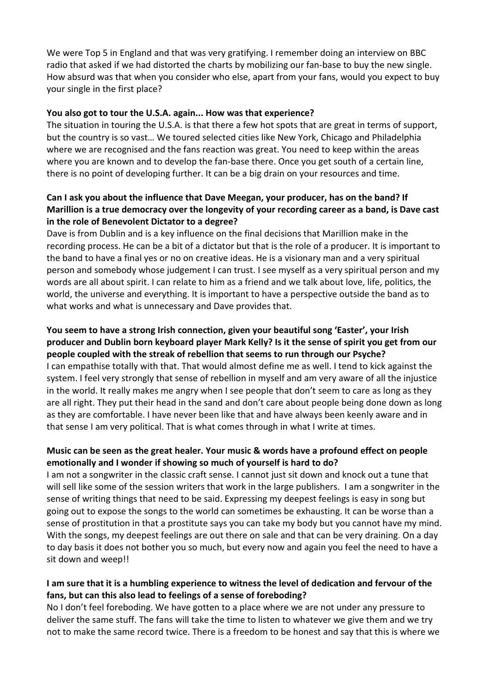We were Top 5 in England and that was very gratifying. I remember doing an interview on BBC radio that asked if we had distorted the charts by mobilizing our fan-base to buy the new single. How absurd was that when you consider who else, apart from your fans, would you expect to buy your single in the first place?

#### You also got to tour the U.S.A. again... How was that experience?

The situation in touring the U.S.A. is that there a few hot spots that are great in terms of support, but the country is so vast… We toured selected cities like New York, Chicago and Philadelphia where we are recognised and the fans reaction was great. You need to keep within the areas where you are known and to develop the fan-base there. Once you get south of a certain line, there is no point of developing further. It can be a big drain on your resources and time.

# Can I ask you about the influence that Dave Meegan, your producer, has on the band? If Marillion is a true democracy over the longevity of your recording career as a band, is Dave cast in the role of Benevolent Dictator to a degree?

Dave is from Dublin and is a key influence on the final decisions that Marillion make in the recording process. He can be a bit of a dictator but that is the role of a producer. It is important to the band to have a final yes or no on creative ideas. He is a visionary man and a very spiritual person and somebody whose judgement I can trust. I see myself as a very spiritual person and my words are all about spirit. I can relate to him as a friend and we talk about love, life, politics, the world, the universe and everything. It is important to have a perspective outside the band as to what works and what is unnecessary and Dave provides that.

### You seem to have a strong Irish connection, given your beautiful song 'Easter', your Irish producer and Dublin born keyboard player Mark Kelly? Is it the sense of spirit you get from our people coupled with the streak of rebellion that seems to run through our Psyche?

I can empathise totally with that. That would almost define me as well. I tend to kick against the system. I feel very strongly that sense of rebellion in myself and am very aware of all the injustice in the world. It really makes me angry when I see people that don't seem to care as long as they are all right. They put their head in the sand and don't care about people being done down as long as they are comfortable. I have never been like that and have always been keenly aware and in that sense I am very political. That is what comes through in what I write at times.

# Music can be seen as the great healer. Your music & words have a profound effect on people emotionally and I wonder if showing so much of yourself is hard to do?

I am not a songwriter in the classic craft sense. I cannot just sit down and knock out a tune that will sell like some of the session writers that work in the large publishers. I am a songwriter in the sense of writing things that need to be said. Expressing my deepest feelings is easy in song but going out to expose the songs to the world can sometimes be exhausting. It can be worse than a sense of prostitution in that a prostitute says you can take my body but you cannot have my mind. With the songs, my deepest feelings are out there on sale and that can be very draining. On a day to day basis it does not bother you so much, but every now and again you feel the need to have a sit down and weep!!

# I am sure that it is a humbling experience to witness the level of dedication and fervour of the fans, but can this also lead to feelings of a sense of foreboding?

No I don't feel foreboding. We have gotten to a place where we are not under any pressure to deliver the same stuff. The fans will take the time to listen to whatever we give them and we try not to make the same record twice. There is a freedom to be honest and say that this is where we